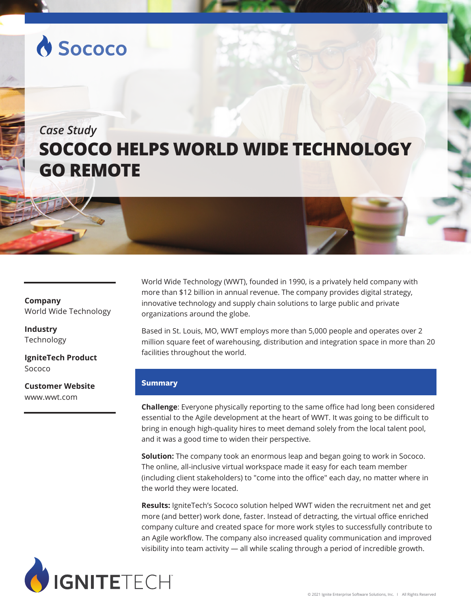# **A Sococo**

# *Case Study* **SOCOCO HELPS WORLD WIDE TECHNOLOGY GO REMOTE**

## **Company** World Wide Technology

**Industry** Technology

**IgniteTech Product** Sococo

**Customer Website** www.wwt.com

World Wide Technology (WWT), founded in 1990, is a privately held company with more than \$12 billion in annual revenue. The company provides digital strategy, innovative technology and supply chain solutions to large public and private organizations around the globe.

Based in St. Louis, MO, WWT employs more than 5,000 people and operates over 2 million square feet of warehousing, distribution and integration space in more than 20 facilities throughout the world.

### **Summary**

**Challenge**: Everyone physically reporting to the same office had long been considered essential to the Agile development at the heart of WWT. It was going to be difficult to bring in enough high-quality hires to meet demand solely from the local talent pool, and it was a good time to widen their perspective.

**Solution:** The company took an enormous leap and began going to work in Sococo. The online, all-inclusive virtual workspace made it easy for each team member (including client stakeholders) to "come into the office" each day, no matter where in the world they were located.

**Results:** IgniteTech's Sococo solution helped WWT widen the recruitment net and get more (and better) work done, faster. Instead of detracting, the virtual office enriched company culture and created space for more work styles to successfully contribute to an Agile workflow. The company also increased quality communication and improved visibility into team activity — all while scaling through a period of incredible growth.